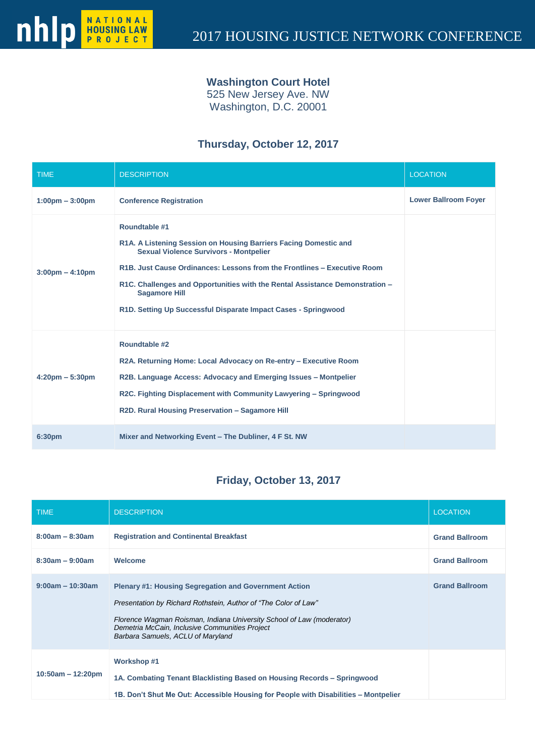#### **Washington Court Hotel**

525 New Jersey Ave. NW Washington, D.C. 20001

### **Thursday, October 12, 2017**

| <b>TIME</b>                       | <b>DESCRIPTION</b>                                                                                                                                                                                                                                                                                                                                                                       | <b>LOCATION</b>             |
|-----------------------------------|------------------------------------------------------------------------------------------------------------------------------------------------------------------------------------------------------------------------------------------------------------------------------------------------------------------------------------------------------------------------------------------|-----------------------------|
| $1:00 \text{pm} - 3:00 \text{pm}$ | <b>Conference Registration</b>                                                                                                                                                                                                                                                                                                                                                           | <b>Lower Ballroom Foyer</b> |
| $3:00 \text{pm} - 4:10 \text{pm}$ | Roundtable #1<br>R1A. A Listening Session on Housing Barriers Facing Domestic and<br><b>Sexual Violence Survivors - Montpelier</b><br>R1B. Just Cause Ordinances: Lessons from the Frontlines - Executive Room<br>R1C. Challenges and Opportunities with the Rental Assistance Demonstration -<br><b>Sagamore Hill</b><br>R1D. Setting Up Successful Disparate Impact Cases - Springwood |                             |
| $4:20 \text{pm} - 5:30 \text{pm}$ | Roundtable #2<br>R2A. Returning Home: Local Advocacy on Re-entry – Executive Room<br>R2B. Language Access: Advocacy and Emerging Issues – Montpelier<br>R2C. Fighting Displacement with Community Lawyering – Springwood<br>R2D. Rural Housing Preservation - Sagamore Hill                                                                                                              |                             |
| 6:30 <sub>pm</sub>                | Mixer and Networking Event - The Dubliner, 4 F St. NW                                                                                                                                                                                                                                                                                                                                    |                             |

## **Friday, October 13, 2017**

| <b>TIME</b>         | <b>DESCRIPTION</b>                                                                                                                                                                                                                                                                              | <b>LOCATION</b>       |
|---------------------|-------------------------------------------------------------------------------------------------------------------------------------------------------------------------------------------------------------------------------------------------------------------------------------------------|-----------------------|
| $8:00am - 8:30am$   | <b>Registration and Continental Breakfast</b>                                                                                                                                                                                                                                                   | <b>Grand Ballroom</b> |
| $8:30am - 9:00am$   | Welcome                                                                                                                                                                                                                                                                                         | <b>Grand Ballroom</b> |
| $9:00am - 10:30am$  | <b>Plenary #1: Housing Segregation and Government Action</b><br>Presentation by Richard Rothstein, Author of "The Color of Law"<br>Florence Wagman Roisman, Indiana University School of Law (moderator)<br>Demetria McCain, Inclusive Communities Project<br>Barbara Samuels, ACLU of Maryland | <b>Grand Ballroom</b> |
| $10:50am - 12:20pm$ | <b>Workshop #1</b><br>1A. Combating Tenant Blacklisting Based on Housing Records – Springwood<br>1B. Don't Shut Me Out: Accessible Housing for People with Disabilities – Montpelier                                                                                                            |                       |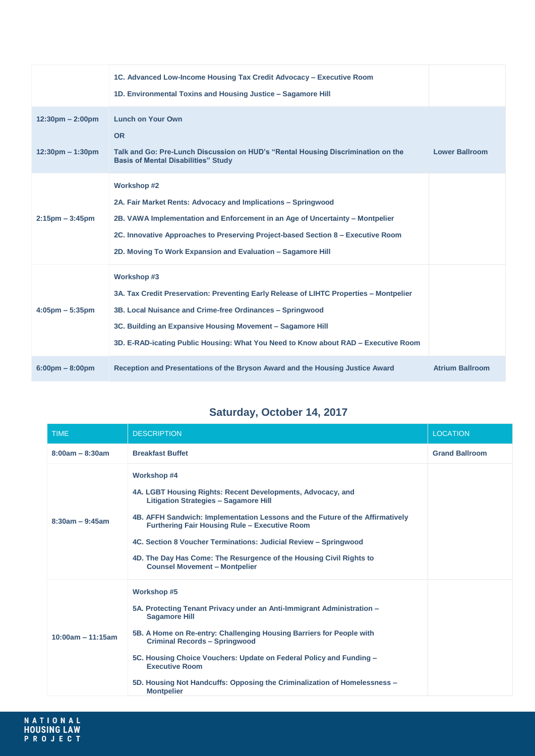|                                    | 1C. Advanced Low-Income Housing Tax Credit Advocacy - Executive Room<br>1D. Environmental Toxins and Housing Justice - Sagamore Hill                                                                                                                                                                                    |                        |
|------------------------------------|-------------------------------------------------------------------------------------------------------------------------------------------------------------------------------------------------------------------------------------------------------------------------------------------------------------------------|------------------------|
| $12:30 \text{pm} - 2:00 \text{pm}$ | <b>Lunch on Your Own</b><br><b>OR</b>                                                                                                                                                                                                                                                                                   |                        |
| $12:30 \text{pm} - 1:30 \text{pm}$ | Talk and Go: Pre-Lunch Discussion on HUD's "Rental Housing Discrimination on the<br><b>Basis of Mental Disabilities" Study</b>                                                                                                                                                                                          | <b>Lower Ballroom</b>  |
| $2:15 \text{pm} - 3:45 \text{pm}$  | <b>Workshop #2</b><br>2A. Fair Market Rents: Advocacy and Implications - Springwood<br>2B. VAWA Implementation and Enforcement in an Age of Uncertainty - Montpelier<br>2C. Innovative Approaches to Preserving Project-based Section 8 - Executive Room<br>2D. Moving To Work Expansion and Evaluation - Sagamore Hill |                        |
| $4:05 \text{pm} - 5:35 \text{pm}$  | Workshop #3<br>3A. Tax Credit Preservation: Preventing Early Release of LIHTC Properties - Montpelier<br>3B. Local Nuisance and Crime-free Ordinances - Springwood<br>3C. Building an Expansive Housing Movement - Sagamore Hill<br>3D. E-RAD-icating Public Housing: What You Need to Know about RAD – Executive Room  |                        |
| $6:00 \text{pm} - 8:00 \text{pm}$  | Reception and Presentations of the Bryson Award and the Housing Justice Award                                                                                                                                                                                                                                           | <b>Atrium Ballroom</b> |

# **Saturday, October 14, 2017**

| <b>TIME</b>         | <b>DESCRIPTION</b>                                                                                                                                                                                                                                                                                                                                                                                                                                            | <b>LOCATION</b>       |
|---------------------|---------------------------------------------------------------------------------------------------------------------------------------------------------------------------------------------------------------------------------------------------------------------------------------------------------------------------------------------------------------------------------------------------------------------------------------------------------------|-----------------------|
| $8:00am - 8:30am$   | <b>Breakfast Buffet</b>                                                                                                                                                                                                                                                                                                                                                                                                                                       | <b>Grand Ballroom</b> |
| $8:30am - 9:45am$   | <b>Workshop #4</b><br>4A. LGBT Housing Rights: Recent Developments, Advocacy, and<br><b>Litigation Strategies - Sagamore Hill</b><br>4B. AFFH Sandwich: Implementation Lessons and the Future of the Affirmatively<br><b>Furthering Fair Housing Rule - Executive Room</b><br>4C. Section 8 Voucher Terminations: Judicial Review - Springwood<br>4D. The Day Has Come: The Resurgence of the Housing Civil Rights to<br><b>Counsel Movement - Montpelier</b> |                       |
| $10:00am - 11:15am$ | Workshop #5<br>5A. Protecting Tenant Privacy under an Anti-Immigrant Administration -<br><b>Sagamore Hill</b><br>5B. A Home on Re-entry: Challenging Housing Barriers for People with<br><b>Criminal Records - Springwood</b><br>5C. Housing Choice Vouchers: Update on Federal Policy and Funding -<br><b>Executive Room</b><br>5D. Housing Not Handcuffs: Opposing the Criminalization of Homelessness -<br><b>Montpelier</b>                               |                       |